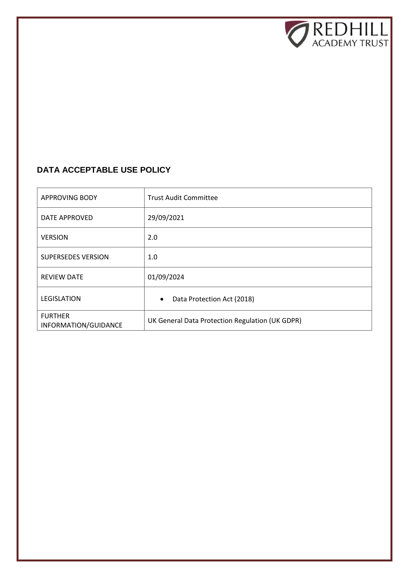

# **DATA ACCEPTABLE USE POLICY**

| <b>APPROVING BODY</b>                  | <b>Trust Audit Committee</b>                    |
|----------------------------------------|-------------------------------------------------|
| DATE APPROVED                          | 29/09/2021                                      |
| <b>VERSION</b>                         | 2.0                                             |
| <b>SUPERSEDES VERSION</b>              | 1.0                                             |
| <b>REVIEW DATE</b>                     | 01/09/2024                                      |
| LEGISLATION                            | Data Protection Act (2018)<br>$\bullet$         |
| <b>FURTHER</b><br>INFORMATION/GUIDANCE | UK General Data Protection Regulation (UK GDPR) |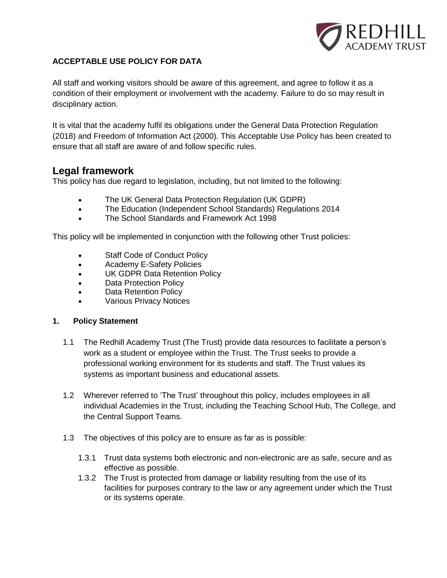

## **ACCEPTABLE USE POLICY FOR DATA**

All staff and working visitors should be aware of this agreement, and agree to follow it as a condition of their employment or involvement with the academy. Failure to do so may result in disciplinary action.

It is vital that the academy fulfil its obligations under the General Data Protection Regulation (2018) and Freedom of Information Act (2000). This Acceptable Use Policy has been created to ensure that all staff are aware of and follow specific rules.

# **Legal framework**

This policy has due regard to legislation, including, but not limited to the following:

- The UK General Data Protection Regulation (UK GDPR)
- The Education (Independent School Standards) Regulations 2014
- The School Standards and Framework Act 1998

This policy will be implemented in conjunction with the following other Trust policies:

- Staff Code of Conduct Policy
- Academy E-Safety Policies
- UK GDPR Data Retention Policy
- Data Protection Policy
- Data Retention Policy
- Various Privacy Notices

#### **1. Policy Statement**

- 1.1 The Redhill Academy Trust (The Trust) provide data resources to facilitate a person's work as a student or employee within the Trust. The Trust seeks to provide a professional working environment for its students and staff. The Trust values its systems as important business and educational assets.
- 1.2 Wherever referred to 'The Trust' throughout this policy, includes employees in all individual Academies in the Trust, including the Teaching School Hub, The College, and the Central Support Teams.
- 1.3 The objectives of this policy are to ensure as far as is possible:
	- 1.3.1 Trust data systems both electronic and non-electronic are as safe, secure and as effective as possible.
	- 1.3.2 The Trust is protected from damage or liability resulting from the use of its facilities for purposes contrary to the law or any agreement under which the Trust or its systems operate.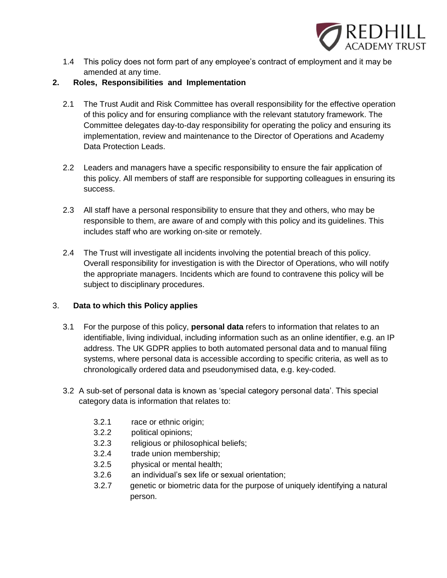

1.4 This policy does not form part of any employee's contract of employment and it may be amended at any time.

## **2. Roles, Responsibilities and Implementation**

- 2.1 The Trust Audit and Risk Committee has overall responsibility for the effective operation of this policy and for ensuring compliance with the relevant statutory framework. The Committee delegates day-to-day responsibility for operating the policy and ensuring its implementation, review and maintenance to the Director of Operations and Academy Data Protection Leads.
- 2.2 Leaders and managers have a specific responsibility to ensure the fair application of this policy. All members of staff are responsible for supporting colleagues in ensuring its success.
- 2.3 All staff have a personal responsibility to ensure that they and others, who may be responsible to them, are aware of and comply with this policy and its guidelines. This includes staff who are working on-site or remotely.
- 2.4 The Trust will investigate all incidents involving the potential breach of this policy. Overall responsibility for investigation is with the Director of Operations, who will notify the appropriate managers. Incidents which are found to contravene this policy will be subject to disciplinary procedures.

## 3. **Data to which this Policy applies**

- 3.1 For the purpose of this policy, **personal data** refers to information that relates to an identifiable, living individual, including information such as an online identifier, e.g. an IP address. The UK GDPR applies to both automated personal data and to manual filing systems, where personal data is accessible according to specific criteria, as well as to chronologically ordered data and pseudonymised data, e.g. key-coded.
- 3.2 A sub-set of personal data is known as 'special category personal data'. This special category data is information that relates to:
	- 3.2.1 race or ethnic origin;
	- 3.2.2 political opinions;
	- 3.2.3 religious or philosophical beliefs;
	- 3.2.4 trade union membership;
	- 3.2.5 physical or mental health;
	- 3.2.6 an individual's sex life or sexual orientation;
	- 3.2.7 genetic or biometric data for the purpose of uniquely identifying a natural person.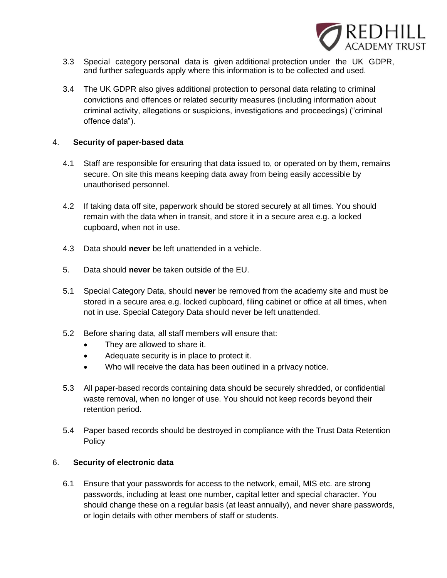

- 3.3 Special category personal data is given additional protection under the UK GDPR, and further safeguards apply where this information is to be collected and used.
- 3.4 The UK GDPR also gives additional protection to personal data relating to criminal convictions and offences or related security measures (including information about criminal activity, allegations or suspicions, investigations and proceedings) ("criminal offence data").

#### 4. **Security of paper-based data**

- 4.1 Staff are responsible for ensuring that data issued to, or operated on by them, remains secure. On site this means keeping data away from being easily accessible by unauthorised personnel.
- 4.2 If taking data off site, paperwork should be stored securely at all times. You should remain with the data when in transit, and store it in a secure area e.g. a locked cupboard, when not in use.
- 4.3 Data should **never** be left unattended in a vehicle.
- 5. Data should **never** be taken outside of the EU.
- 5.1 Special Category Data, should **never** be removed from the academy site and must be stored in a secure area e.g. locked cupboard, filing cabinet or office at all times, when not in use. Special Category Data should never be left unattended.
- 5.2 Before sharing data, all staff members will ensure that:
	- They are allowed to share it.
	- Adequate security is in place to protect it.
	- Who will receive the data has been outlined in a privacy notice.
- 5.3 All paper-based records containing data should be securely shredded, or confidential waste removal, when no longer of use. You should not keep records beyond their retention period.
- 5.4 Paper based records should be destroyed in compliance with the Trust Data Retention **Policy**

#### 6. **Security of electronic data**

6.1 Ensure that your passwords for access to the network, email, MIS etc. are strong passwords, including at least one number, capital letter and special character. You should change these on a regular basis (at least annually), and never share passwords, or login details with other members of staff or students.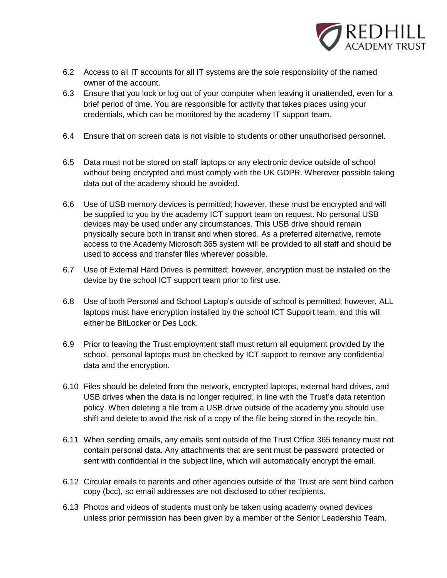

- 6.2 Access to all IT accounts for all IT systems are the sole responsibility of the named owner of the account.
- 6.3 Ensure that you lock or log out of your computer when leaving it unattended, even for a brief period of time. You are responsible for activity that takes places using your credentials, which can be monitored by the academy IT support team.
- 6.4 Ensure that on screen data is not visible to students or other unauthorised personnel.
- 6.5 Data must not be stored on staff laptops or any electronic device outside of school without being encrypted and must comply with the UK GDPR. Wherever possible taking data out of the academy should be avoided.
- 6.6 Use of USB memory devices is permitted; however, these must be encrypted and will be supplied to you by the academy ICT support team on request. No personal USB devices may be used under any circumstances. This USB drive should remain physically secure both in transit and when stored. As a preferred alternative, remote access to the Academy Microsoft 365 system will be provided to all staff and should be used to access and transfer files wherever possible.
- 6.7 Use of External Hard Drives is permitted; however, encryption must be installed on the device by the school ICT support team prior to first use.
- 6.8 Use of both Personal and School Laptop's outside of school is permitted; however, ALL laptops must have encryption installed by the school ICT Support team, and this will either be BitLocker or Des Lock.
- 6.9 Prior to leaving the Trust employment staff must return all equipment provided by the school, personal laptops must be checked by ICT support to remove any confidential data and the encryption.
- 6.10 Files should be deleted from the network, encrypted laptops, external hard drives, and USB drives when the data is no longer required, in line with the Trust's data retention policy. When deleting a file from a USB drive outside of the academy you should use shift and delete to avoid the risk of a copy of the file being stored in the recycle bin.
- 6.11 When sending emails, any emails sent outside of the Trust Office 365 tenancy must not contain personal data. Any attachments that are sent must be password protected or sent with confidential in the subject line, which will automatically encrypt the email.
- 6.12 Circular emails to parents and other agencies outside of the Trust are sent blind carbon copy (bcc), so email addresses are not disclosed to other recipients.
- 6.13 Photos and videos of students must only be taken using academy owned devices unless prior permission has been given by a member of the Senior Leadership Team.